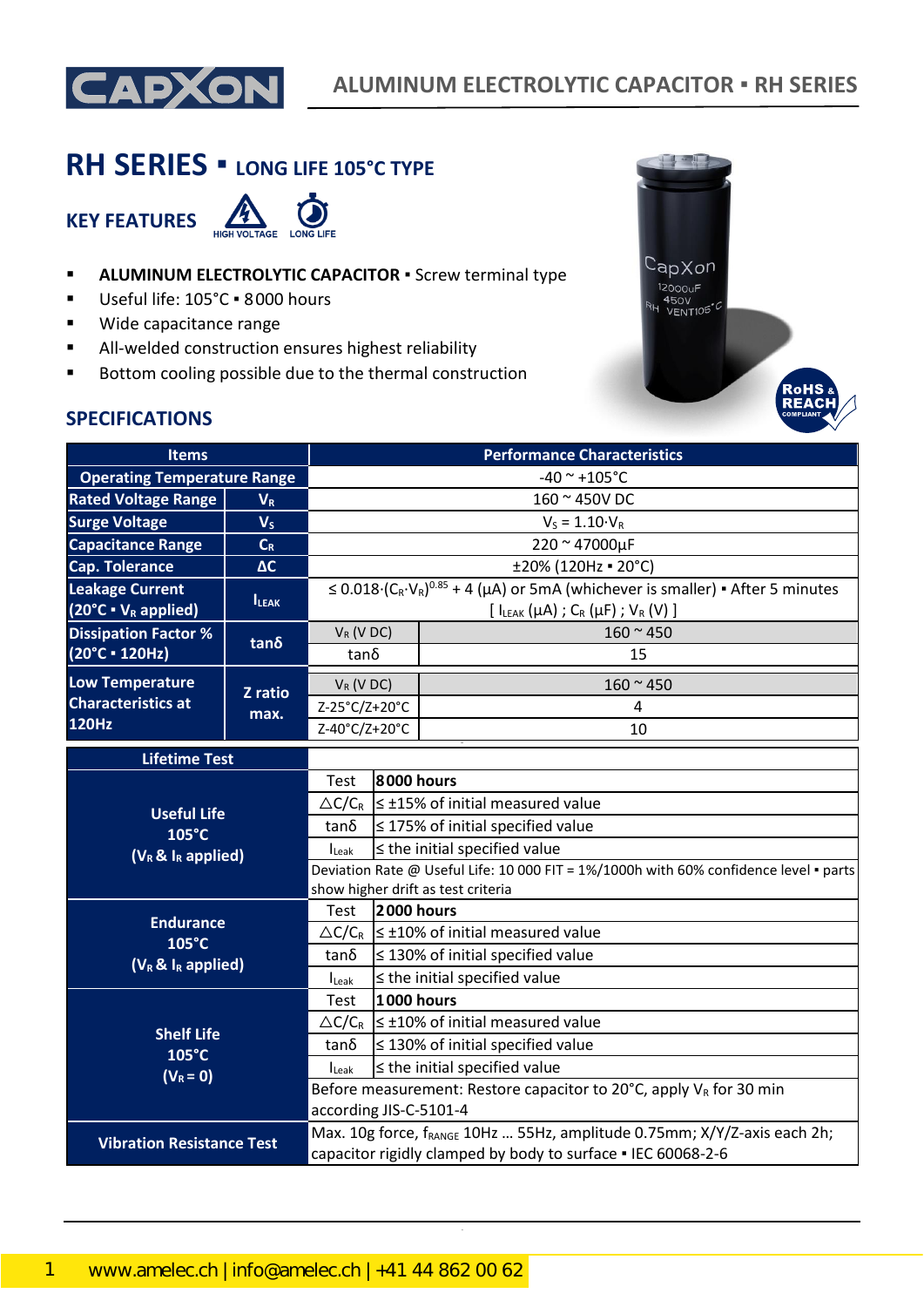

# **RH SERIES ▪ LONG LIFE 105°C TYPE**

**KEY FEATURES**



- **E** ALUMINUM ELECTROLYTIC CAPACITOR **·** Screw terminal type
- Useful life: 105°C · 8000 hours
- Wide capacitance range
- All-welded construction ensures highest reliability
- Bottom cooling possible due to the thermal construction



### **SPECIFICATIONS**

| <b>Items</b>                                                |                | <b>Performance Characteristics</b>                                                                                                                                    |                                                             |                                                                                           |  |  |
|-------------------------------------------------------------|----------------|-----------------------------------------------------------------------------------------------------------------------------------------------------------------------|-------------------------------------------------------------|-------------------------------------------------------------------------------------------|--|--|
| <b>Operating Temperature Range</b>                          |                | $-40$ ~ +105°C                                                                                                                                                        |                                                             |                                                                                           |  |  |
| <b>Rated Voltage Range</b>                                  | $V_R$          |                                                                                                                                                                       |                                                             | 160 ~ 450V DC                                                                             |  |  |
| <b>Surge Voltage</b>                                        | V <sub>S</sub> |                                                                                                                                                                       |                                                             | $V_S = 1.10 \cdot V_R$                                                                    |  |  |
| <b>Capacitance Range</b>                                    | $C_R$          | 220 ~ 47000µF                                                                                                                                                         |                                                             |                                                                                           |  |  |
| <b>Cap. Tolerance</b>                                       | $\Delta C$     | ±20% (120Hz = 20°C)                                                                                                                                                   |                                                             |                                                                                           |  |  |
| <b>Leakage Current</b><br>$(20^{\circ}C \cdot V_R$ applied) | <b>ILEAK</b>   | $\leq$ 0.018 $(C_R \cdot V_R)^{0.85}$ + 4 (µA) or 5mA (whichever is smaller) • After 5 minutes<br>$[I_{LEAK}(\mu A)$ ; C <sub>R</sub> ( $\mu$ F); V <sub>R</sub> (V)] |                                                             |                                                                                           |  |  |
| <b>Dissipation Factor %</b>                                 |                | $160 - 450$<br>$V_R$ (V DC)                                                                                                                                           |                                                             |                                                                                           |  |  |
| (20°C · 120Hz)                                              | tan δ          | $tan\delta$                                                                                                                                                           |                                                             | 15                                                                                        |  |  |
| <b>Low Temperature</b>                                      | Z ratio        | $V_R$ (V DC)                                                                                                                                                          |                                                             | $160 - 450$                                                                               |  |  |
| <b>Characteristics at</b>                                   | max.           | Z-25°C/Z+20°C                                                                                                                                                         |                                                             | 4                                                                                         |  |  |
| 120Hz                                                       |                | Z-40°C/Z+20°C                                                                                                                                                         |                                                             | 10                                                                                        |  |  |
| <b>Lifetime Test</b>                                        |                |                                                                                                                                                                       |                                                             |                                                                                           |  |  |
| <b>Useful Life</b>                                          |                | Test                                                                                                                                                                  | 8000 hours                                                  |                                                                                           |  |  |
|                                                             |                |                                                                                                                                                                       |                                                             | $\triangle C/C_R \leq \pm 15\%$ of initial measured value                                 |  |  |
| 105°C                                                       |                | tanδ                                                                                                                                                                  | $\leq$ 175% of initial specified value                      |                                                                                           |  |  |
| $(V_R \& I_R$ applied)                                      |                | $I_{\text{Leak}}$                                                                                                                                                     | $\leq$ the initial specified value                          |                                                                                           |  |  |
|                                                             |                | Deviation Rate @ Useful Life: 10 000 FIT = 1%/1000h with 60% confidence level · parts<br>show higher drift as test criteria                                           |                                                             |                                                                                           |  |  |
|                                                             |                | Test                                                                                                                                                                  | 2000 hours                                                  |                                                                                           |  |  |
| <b>Endurance</b>                                            |                |                                                                                                                                                                       | $\triangle C/C_R$ $\leq \pm 10\%$ of initial measured value |                                                                                           |  |  |
| $105^{\circ}$ C                                             |                | tan δ                                                                                                                                                                 | $\leq$ 130% of initial specified value                      |                                                                                           |  |  |
| $(V_R \& I_R$ applied)                                      |                | $I_{\text{Leak}}$                                                                                                                                                     | $\le$ the initial specified value                           |                                                                                           |  |  |
|                                                             |                | Test                                                                                                                                                                  | <b>1000 hours</b>                                           |                                                                                           |  |  |
| <b>Shelf Life</b><br>105°C                                  |                |                                                                                                                                                                       |                                                             | $\triangle C/C_R$ $\leq \pm 10\%$ of initial measured value                               |  |  |
|                                                             |                | tan δ                                                                                                                                                                 |                                                             | $\leq$ 130% of initial specified value                                                    |  |  |
| $(V_R = 0)$                                                 |                | <b>I</b> Leak                                                                                                                                                         |                                                             | $\leq$ the initial specified value                                                        |  |  |
|                                                             |                |                                                                                                                                                                       |                                                             | Before measurement: Restore capacitor to 20 $^{\circ}$ C, apply V <sub>R</sub> for 30 min |  |  |
|                                                             |                | according JIS-C-5101-4                                                                                                                                                |                                                             |                                                                                           |  |  |
| <b>Vibration Resistance Test</b>                            |                |                                                                                                                                                                       |                                                             | Max. 10g force, f <sub>RANGE</sub> 10Hz  55Hz, amplitude 0.75mm; X/Y/Z-axis each 2h;      |  |  |
|                                                             |                | capacitor rigidly clamped by body to surface . IEC 60068-2-6                                                                                                          |                                                             |                                                                                           |  |  |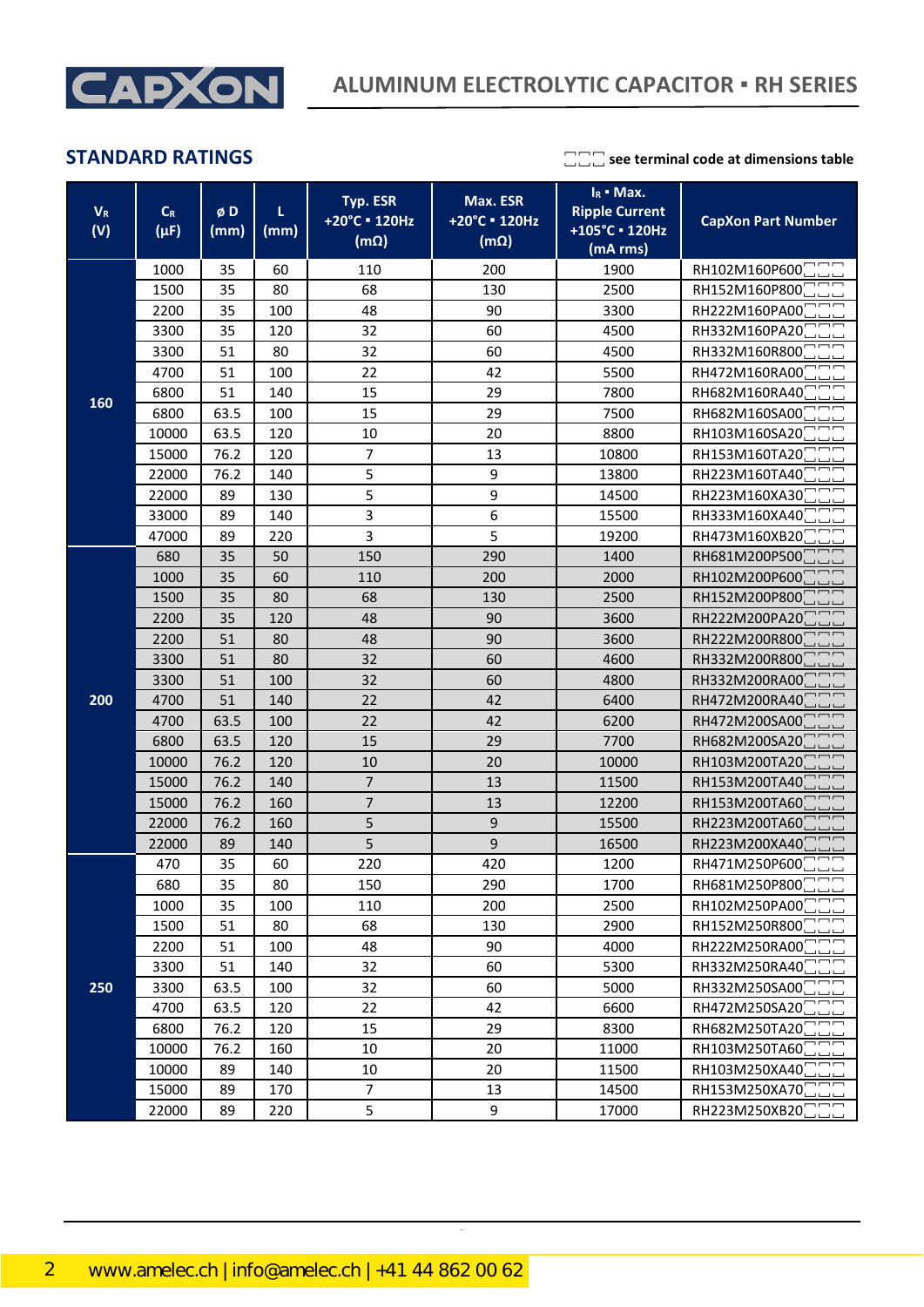

**STANDARD RATINGS see terminal code at dimensions table** 

| $V_R$<br>(V) | $C_R$<br>$(\mu F)$ | øD<br>(mm) | L<br>(mm) | Typ. ESR<br>+20°C = 120Hz<br>$(m\Omega)$ | Max. ESR<br>+20°C = 120Hz<br>$(m\Omega)$ | $I_R$ • Max.<br><b>Ripple Current</b><br>+105°C · 120Hz<br>(mA rms) | <b>CapXon Part Number</b>   |
|--------------|--------------------|------------|-----------|------------------------------------------|------------------------------------------|---------------------------------------------------------------------|-----------------------------|
|              | 1000               | 35         | 60        | 110                                      | 200<br>1900                              |                                                                     | RH102M160P600               |
|              | 1500               | 35         | 80        | 68                                       | 130                                      | 2500                                                                | RH152M160P800               |
|              | 2200               | 35         | 100       | 48                                       | 90                                       | 3300                                                                | RH222M160PA00               |
|              | 3300               | 35         | 120       | 32                                       | 60                                       | 4500                                                                | RH332M160PA20               |
|              | 3300               | 51         | 80        | 32                                       | 60                                       | 4500                                                                | RH332M160R800               |
|              | 4700               | 51         | 100       | 22                                       | 42                                       | 5500                                                                | RH472M160RA00               |
|              | 6800               | 51         | 140       | 15                                       | 29                                       | 7800                                                                | RH682M160RA40               |
| 160          | 6800               | 63.5       | 100       | 15                                       | 29                                       | 7500                                                                | RH682M160SA00               |
|              | 10000              | 63.5       | 120       | 10                                       | 20                                       | 8800                                                                | RH103M160SA20               |
|              | 15000              | 76.2       | 120       | $\overline{7}$                           | 13                                       | 10800                                                               | RH153M160TA20               |
|              | 22000              | 76.2       | 140       | 5                                        | 9                                        | 13800                                                               | RH223M160TA40               |
|              | 22000              | 89         | 130       | 5                                        | 9                                        | 14500                                                               | RH223M160XA30               |
|              | 33000              | 89         | 140       | 3                                        | 6                                        | 15500                                                               | RH333M160XA40               |
|              | 47000              | 89         | 220       | 3                                        | 5                                        | 19200                                                               | RH473M160XB20               |
|              | 680                | 35         | 50        | 150                                      | 290                                      | 1400                                                                | RH681M200P500               |
|              | 1000               | 35         | 60        | 110                                      | 200                                      | 2000                                                                | RH102M200P600               |
|              | 1500               | 35         | 80        | 68                                       | 130                                      | 2500                                                                | RH152M200P800               |
|              | 2200               | 35         | 120       | 48                                       | 90                                       | 3600                                                                | RH222M200PA20               |
|              | 2200               | 51         | 80        | 48                                       | 90                                       | 3600                                                                | RH222M200R800               |
|              | 3300               | 51         | 80        | 32                                       | 60                                       | 4600                                                                | RH332M200R800               |
|              | 3300               | 51         | 100       | 32                                       | 60                                       | 4800                                                                | RH332M200RA00               |
| 200          | 4700               | 51         | 140       | 22                                       | 42                                       | 6400                                                                | RH472M200RA40               |
|              | 4700               | 63.5       | 100       | 22                                       | 42                                       | 6200                                                                | RH472M200SA00               |
|              | 6800               | 63.5       | 120       | 15                                       | 29                                       | 7700                                                                | RH682M200SA20               |
|              | 10000              | 76.2       | 120       | 10                                       | 20                                       | 10000                                                               | RH103M200TA20               |
|              | 15000              | 76.2       | 140       | $\overline{7}$                           | 13                                       | 11500                                                               | RH153M200TA40               |
|              | 15000              | 76.2       | 160       | $\overline{7}$                           | 13                                       | 12200                                                               | RH153M200TA60               |
|              | 22000              | 76.2       | 160       | 5                                        | 9                                        | 15500                                                               | RH223M200TA60               |
|              | 22000              | 89         | 140       | 5                                        | 9                                        | 16500                                                               | RH223M200XA40               |
|              | 470                | 35         | 60        | 220                                      | 420                                      | 1200                                                                | RH471M250P600               |
|              | 680                | 35         | 80        | 150                                      | 290                                      | 1700                                                                | RH681M250P800               |
|              | 1000               | 35         | 100       | 110                                      | 200                                      | 2500                                                                | RH102M250PA00               |
|              | 1500               | 51         | 80        | 68                                       | 130                                      | 2900                                                                | RH152M250R800               |
|              | 2200               | 51         | 100       | 48                                       | 90                                       | 4000                                                                | RH222M250RA00               |
|              | 3300               | 51         | 140       | 32                                       | 60                                       | 5300                                                                | RH332M250RA40               |
| 250          | 3300               | 63.5       | 100       | 32                                       | 60                                       | 5000                                                                | RH332M250SA00               |
|              | 4700               | 63.5       | 120       | 22                                       | 42                                       | 6600                                                                | RH472M250SA20               |
|              | 6800               | 76.2       | 120       | 15                                       | 29                                       | 8300                                                                | RH682M250TA20               |
|              | 10000              | 76.2       | 160       | 10                                       | 20                                       | 11000                                                               | RH103M250TA60               |
|              | 10000              | 89         | 140       | 10                                       | 20                                       | 11500                                                               | RH103M250XA40               |
|              | 15000              | 89         | 170       | $\overline{7}$                           | 13                                       | 14500                                                               | RH153M250XA70               |
|              | 22000              | 89         | 220       | 5                                        | 9                                        | 17000                                                               | RH223M250XB20 <sup>-1</sup> |

CapXon\_Ver. 001 – 03/31/2020 2 Document Number: RH series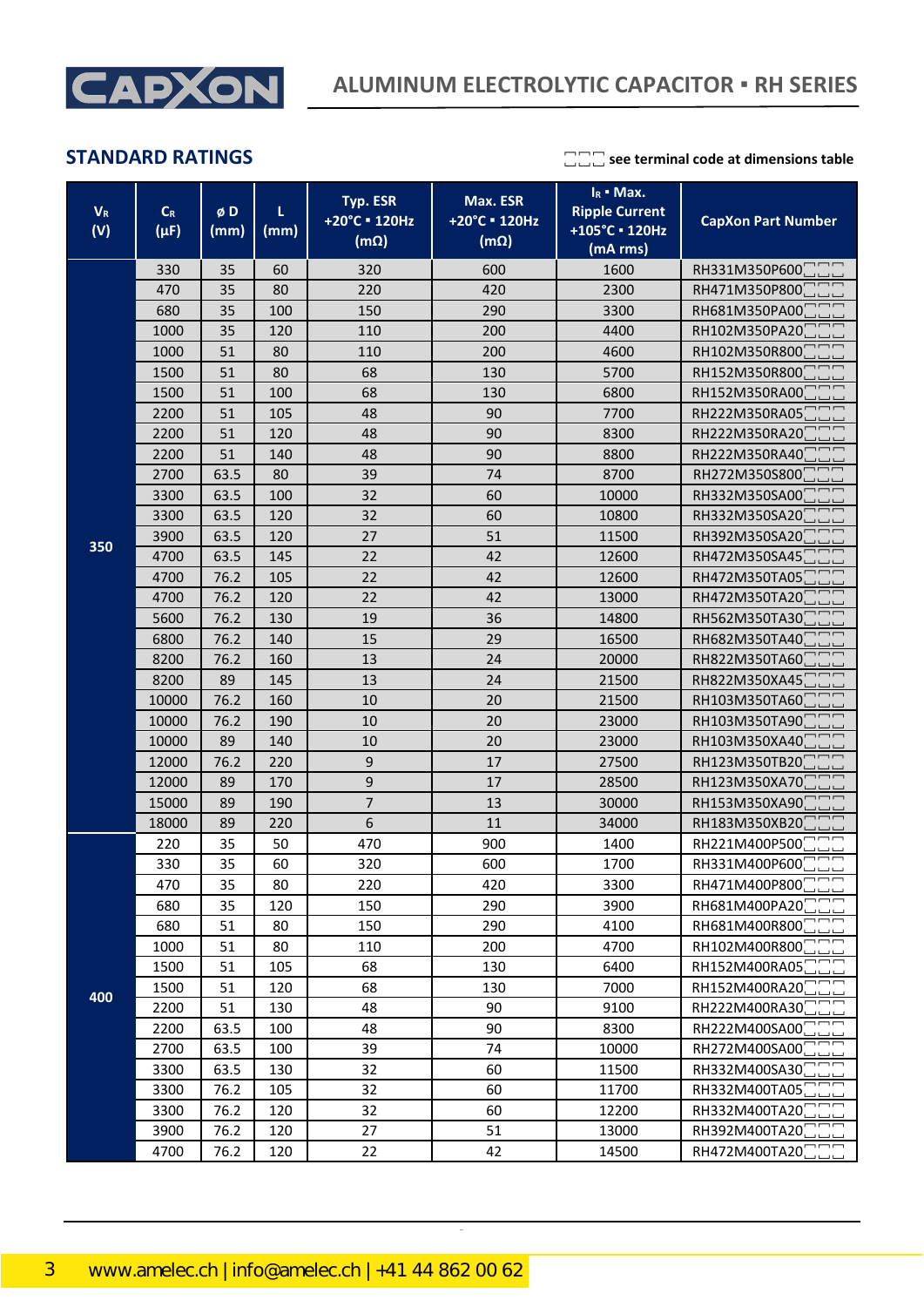

**STANDARD RATINGS see terminal code at dimensions table** 

| $V_R$<br>(V) | $\mathsf{C}_{\mathsf{R}}$<br>$(\mu F)$ | øD<br>(mm) | τ<br>(mm) | Typ. ESR<br>+20°C = 120Hz<br>$(m\Omega)$ | Max. ESR<br>+20°C = 120Hz<br>$(m\Omega)$ | $I_R$ = Max.<br><b>Ripple Current</b><br>+105°C · 120Hz<br>(mA rms) | <b>CapXon Part Number</b>   |
|--------------|----------------------------------------|------------|-----------|------------------------------------------|------------------------------------------|---------------------------------------------------------------------|-----------------------------|
|              | 330                                    | 35         | 60        | 320                                      | 600                                      | 1600                                                                | RH331M350P600               |
|              | 470                                    | 35         | 80        | 220                                      | 420                                      | 2300                                                                | RH471M350P800               |
|              | 680                                    | 35         | 100       | 150                                      | 290                                      | 3300                                                                | RH681M350PA00               |
|              | 1000                                   | 35         | 120       | 110                                      | 200                                      | 4400                                                                | RH102M350PA20               |
|              | 1000                                   | 51         | 80        | 110                                      | 200                                      | 4600                                                                | RH102M350R800               |
|              | 1500                                   | 51         | 80        | 68                                       | 130                                      | 5700                                                                | RH152M350R800               |
|              | 1500                                   | 51         | 100       | 68                                       | 130                                      | 6800                                                                | RH152M350RA00               |
|              | 2200                                   | 51         | 105       | 48                                       | 90                                       | 7700                                                                | RH222M350RA05               |
|              | 2200                                   | 51         | 120       | 48                                       | 90                                       | 8300                                                                | RH222M350RA20               |
|              | 2200                                   | 51         | 140       | 48                                       | 90                                       | 8800                                                                | RH222M350RA40               |
|              | 2700                                   | 63.5       | 80        | 39                                       | 74                                       | 8700                                                                | RH272M350S800               |
|              | 3300                                   | 63.5       | 100       | 32                                       | 60                                       | 10000                                                               | RH332M350SA00               |
|              | 3300                                   | 63.5       | 120       | 32                                       | 60                                       | 10800                                                               | RH332M350SA20               |
| 350          | 3900                                   | 63.5       | 120       | 27                                       | 51                                       | 11500                                                               | RH392M350SA20               |
|              | 4700                                   | 63.5       | 145       | 22                                       | 42                                       | 12600                                                               | RH472M350SA45               |
|              | 4700                                   | 76.2       | 105       | 22                                       | 42                                       | 12600                                                               | RH472M350TA05               |
|              | 4700                                   | 76.2       | 120       | 22                                       | 42                                       | 13000                                                               | RH472M350TA20               |
|              | 5600                                   | 76.2       | 130       | 19                                       | 36                                       | 14800                                                               | RH562M350TA30               |
|              | 6800                                   | 76.2       | 140       | 15                                       | 29                                       | 16500                                                               | RH682M350TA40               |
|              | 8200                                   | 76.2       | 160       | 13                                       | 24                                       | 20000                                                               | RH822M350TA60               |
|              | 8200                                   | 89         | 145       | 13                                       | 24                                       | 21500                                                               | RH822M350XA45               |
|              | 10000                                  | 76.2       | 160       | 10                                       | 20                                       | 21500                                                               | RH103M350TA60               |
|              | 10000                                  | 76.2       | 190       | 10                                       | 20                                       | 23000                                                               | RH103M350TA90               |
|              | 10000                                  | 89         | 140       | 10                                       | 20                                       | 23000                                                               | RH103M350XA40               |
|              | 12000                                  | 76.2       | 220       | 9                                        | 17                                       | 27500                                                               | RH123M350TB20               |
|              | 12000                                  | 89         | 170       | 9                                        | 17                                       | 28500                                                               | RH123M350XA70               |
|              | 15000                                  | 89         | 190       | $\overline{7}$                           | 13                                       | 30000                                                               | RH153M350XA90               |
|              | 18000                                  | 89         | 220       | 6                                        | 11                                       | 34000                                                               | RH183M350XB20               |
|              | 220                                    | 35         | 50        | 470                                      | 900                                      | 1400                                                                | RH221M400P500               |
|              | 330                                    | 35         | 60        | 320                                      | 600                                      | 1700                                                                | RH331M400P600               |
|              | 470                                    | 35         | 80        | 220                                      | 420                                      | 3300                                                                | RH471M400P800               |
|              | 680                                    | 35         | 120       | 150                                      | 290                                      | 3900                                                                | RH681M400PA20               |
|              | 680                                    | 51         | 80        | 150                                      | 290                                      | 4100                                                                | RH681M400R800               |
|              | 1000                                   | 51         | 80        | 110                                      | 200                                      | 4700                                                                | RH102M400R800               |
|              | 1500                                   | 51         | 105       | 68                                       | 130                                      | 6400                                                                | RH152M400RA05               |
| 400          | 1500                                   | 51         | 120       | 68                                       | 130                                      | 7000                                                                | RH152M400RA20               |
|              | 2200                                   | 51         | 130       | 48                                       | 90                                       | 9100                                                                | RH222M400RA30               |
|              | 2200                                   | 63.5       | 100       | 48                                       | 90                                       | 8300                                                                | RH222M400SA00               |
|              | 2700                                   | 63.5       | 100       | 39                                       | 74                                       | 10000                                                               | RH272M400SA00               |
|              | 3300                                   | 63.5       | 130       | 32                                       | 60                                       | 11500                                                               | RH332M400SA30               |
|              | 3300                                   | 76.2       | 105       | 32                                       | 60                                       | 11700                                                               | RH332M400TA05               |
|              | 3300                                   | 76.2       | 120       | 32                                       | 60                                       | 12200                                                               | RH332M400TA20               |
|              | 3900                                   | 76.2       | 120       | 27                                       | 51                                       | 13000                                                               | RH392M400TA20               |
|              | 4700                                   | 76.2       | 120       | 22                                       | 42                                       | 14500                                                               | RH472M400TA20 <sup>-1</sup> |

CapXon\_Ver. 001 – 03/31/2020 3 Document Number: RH series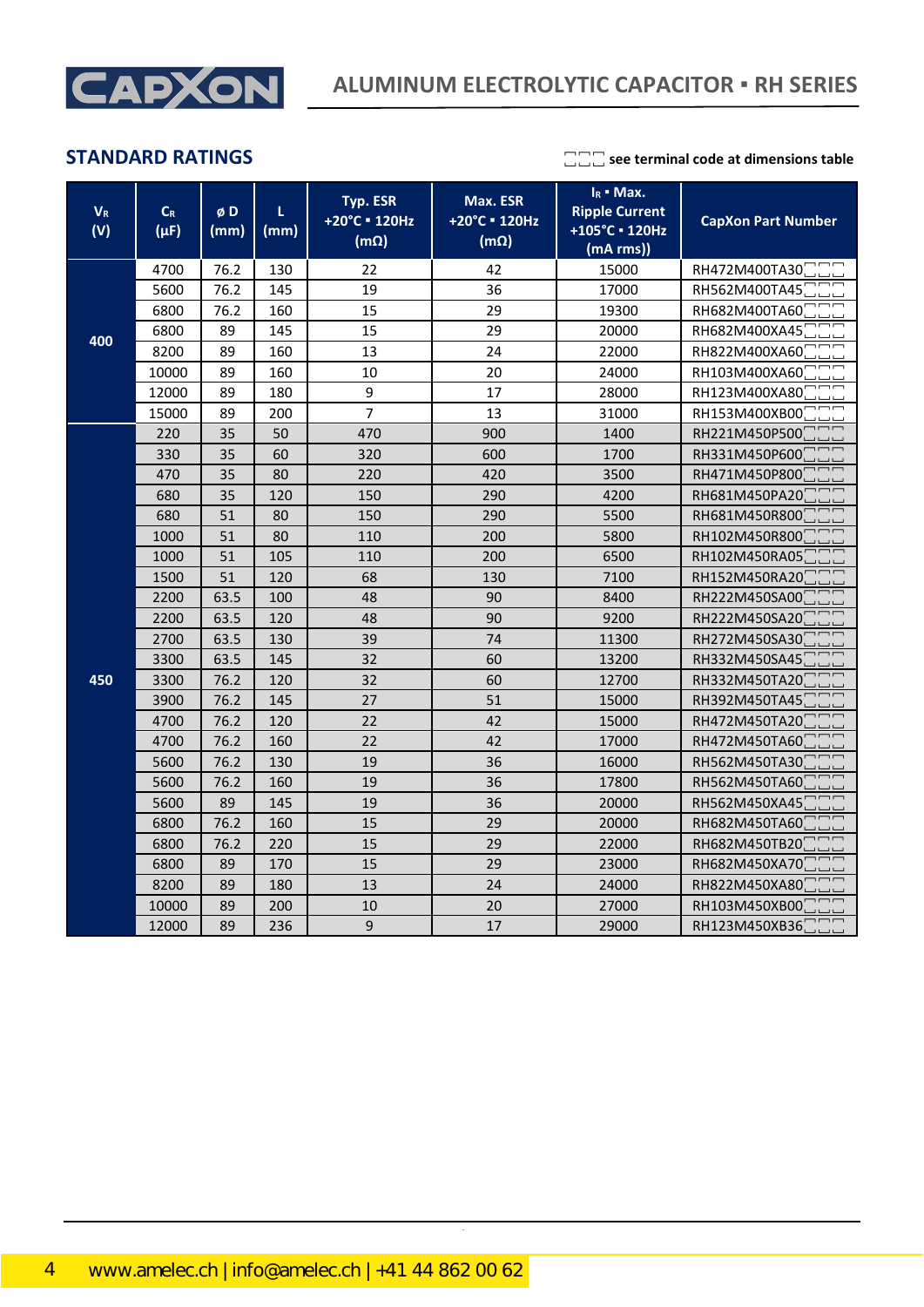

**STANDARD RATINGS**  $\Box$  see terminal code at dimensions table

| $\mathbf{V}_\text{R}$<br>(V) | $\mathsf{C}_{\mathsf{R}}$<br>$(\mu F)$ | øD<br>(mm) | L<br>(mm) | Typ. ESR<br>+20°C = 120Hz<br>$(m\Omega)$ | Max. ESR<br>+20°C = 120Hz<br>$(m\Omega)$ | $I_R$ • Max.<br><b>Ripple Current</b><br>+105°C · 120Hz<br>(mA rms) | <b>CapXon Part Number</b> |
|------------------------------|----------------------------------------|------------|-----------|------------------------------------------|------------------------------------------|---------------------------------------------------------------------|---------------------------|
|                              | 4700                                   | 76.2       | 130       | 22                                       | 42                                       | 15000                                                               | RH472M400TA30             |
|                              | 5600                                   | 76.2       | 145       | 19                                       | 36                                       | 17000                                                               | RH562M400TA45             |
|                              | 6800                                   | 76.2       | 160       | 15                                       | 29                                       | 19300                                                               | RH682M400TA60             |
| 400                          | 6800                                   | 89         | 145       | 15                                       | 29                                       | 20000                                                               | RH682M400XA45             |
|                              | 8200                                   | 89         | 160       | 13                                       | 24                                       | 22000                                                               | RH822M400XA60             |
|                              | 10000                                  | 89         | 160       | 10                                       | 20                                       | 24000                                                               | RH103M400XA60             |
|                              | 12000                                  | 89         | 180       | 9                                        | 17                                       | 28000                                                               | RH123M400XA80             |
|                              | 15000                                  | 89         | 200       | $\overline{7}$                           | 13                                       | 31000                                                               | RH153M400XB00             |
|                              | 220                                    | 35         | 50        | 470                                      | 900                                      | 1400                                                                | RH221M450P500             |
|                              | 330                                    | 35         | 60        | 320                                      | 600                                      | 1700                                                                | RH331M450P600             |
|                              | 470                                    | 35         | 80        | 220                                      | 420                                      | 3500                                                                | RH471M450P800             |
|                              | 680                                    | 35         | 120       | 150                                      | 290                                      | 4200                                                                | RH681M450PA20             |
|                              | 680                                    | 51         | 80        | 150                                      | 290                                      | 5500                                                                | RH681M450R800             |
|                              | 1000                                   | 51         | 80        | 110                                      | 200                                      | 5800                                                                | RH102M450R800             |
|                              | 1000                                   | 51         | 105       | 110                                      | 200                                      | 6500                                                                | RH102M450RA05             |
|                              | 1500                                   | 51         | 120       | 68                                       | 130                                      | 7100                                                                | RH152M450RA20             |
|                              | 2200                                   | 63.5       | 100       | 48                                       | 90                                       | 8400                                                                | RH222M450SA00             |
|                              | 2200                                   | 63.5       | 120       | 48                                       | 90                                       | 9200                                                                | RH222M450SA20             |
|                              | 2700                                   | 63.5       | 130       | 39                                       | 74                                       | 11300                                                               | RH272M450SA30             |
|                              | 3300                                   | 63.5       | 145       | 32                                       | 60                                       | 13200                                                               | RH332M450SA45             |
| 450                          | 3300                                   | 76.2       | 120       | 32                                       | 60                                       | 12700                                                               | RH332M450TA20             |
|                              | 3900                                   | 76.2       | 145       | 27                                       | 51                                       | 15000                                                               | RH392M450TA45             |
|                              | 4700                                   | 76.2       | 120       | 22                                       | 42                                       | 15000                                                               | RH472M450TA20             |
|                              | 4700                                   | 76.2       | 160       | 22                                       | 42                                       | 17000                                                               | RH472M450TA60             |
|                              | 5600                                   | 76.2       | 130       | 19                                       | 36                                       | 16000                                                               | RH562M450TA30             |
|                              | 5600                                   | 76.2       | 160       | 19                                       | 36                                       | 17800                                                               | RH562M450TA60             |
|                              | 5600                                   | 89         | 145       | 19                                       | 36                                       | 20000                                                               | RH562M450XA45             |
|                              | 6800                                   | 76.2       | 160       | 15                                       | 29                                       | 20000                                                               | RH682M450TA60             |
|                              | 6800                                   | 76.2       | 220       | 15                                       | 29                                       | 22000                                                               | RH682M450TB20             |
|                              | 6800                                   | 89         | 170       | 15                                       | 29                                       | 23000                                                               | RH682M450XA70             |
|                              | 8200                                   | 89         | 180       | 13                                       | 24                                       | 24000                                                               | RH822M450XA80             |
|                              | 10000                                  | 89         | 200       | 10                                       | 20                                       | 27000                                                               | RH103M450XB00             |
|                              | 12000                                  | 89         | 236       | 9                                        | 17                                       | 29000                                                               | RH123M450XB36             |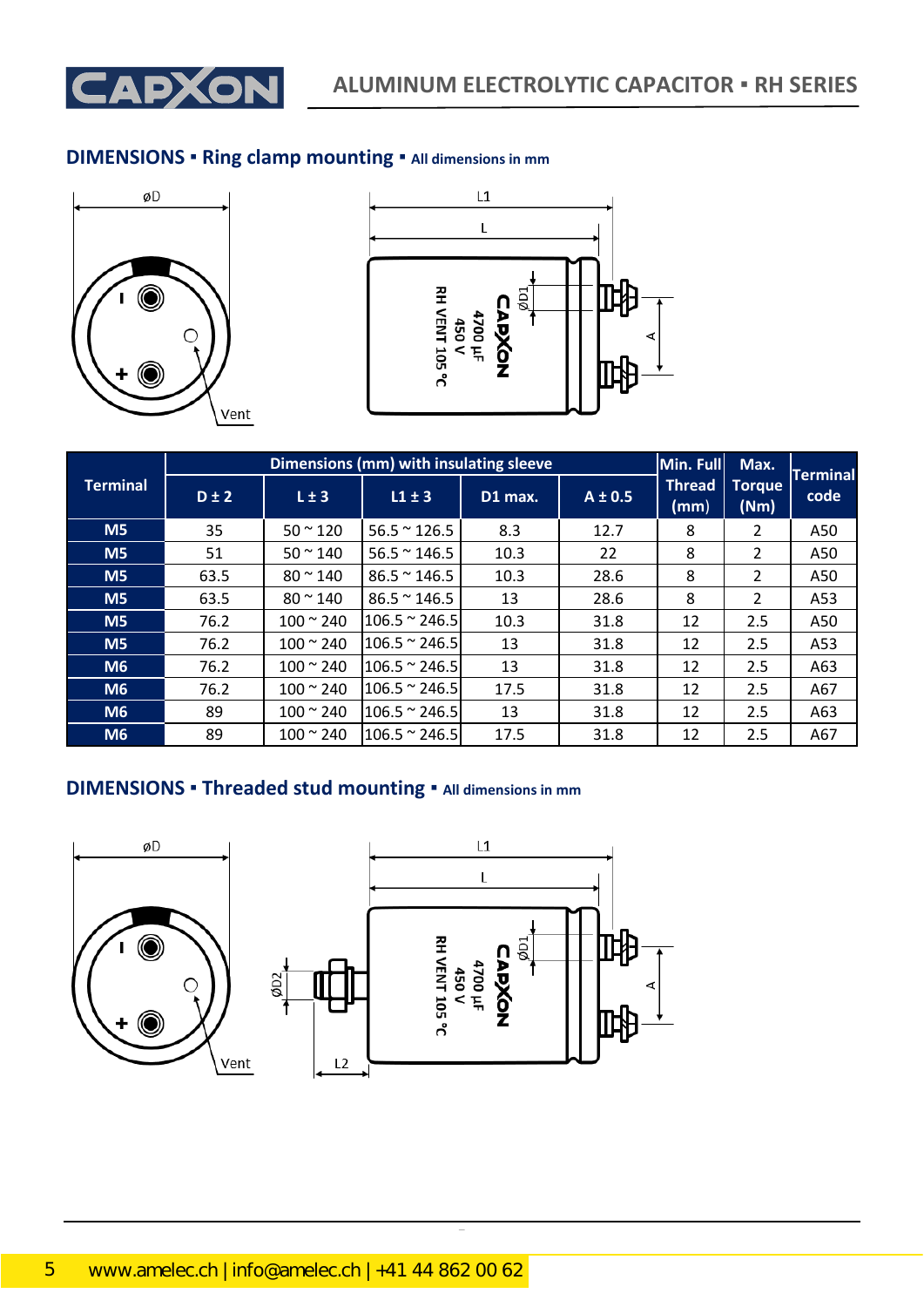

### **DIMENSIONS ▪ Ring clamp mounting ▪ All dimensions in mm**





|                 | Dimensions (mm) with insulating sleeve |                   |                       |         |             |                       |                       | <b>Terminal</b> |
|-----------------|----------------------------------------|-------------------|-----------------------|---------|-------------|-----------------------|-----------------------|-----------------|
| <b>Terminal</b> | $D \pm 2$                              | $L \pm 3$         | $L1 \pm 3$            | D1 max. | $A \pm 0.5$ | <b>Thread</b><br>(mm) | <b>Torque</b><br>(Nm) | code            |
| M <sub>5</sub>  | 35                                     | $50 - 120$        | $56.5 \approx 126.5$  | 8.3     | 12.7        | 8                     | 2                     | A50             |
| M <sub>5</sub>  | 51                                     | $50 \approx 140$  | $56.5 \approx 146.5$  | 10.3    | 22          | 8                     | 2                     | A50             |
| M <sub>5</sub>  | 63.5                                   | $80 \approx 140$  | $86.5 \approx 146.5$  | 10.3    | 28.6        | 8                     | $\overline{2}$        | A50             |
| M <sub>5</sub>  | 63.5                                   | $80 - 140$        | $86.5 \approx 146.5$  | 13      | 28.6        | 8                     | $\overline{2}$        | A53             |
| M <sub>5</sub>  | 76.2                                   | $100 \approx 240$ | $106.5 \approx 246.5$ | 10.3    | 31.8        | 12                    | 2.5                   | A50             |
| M <sub>5</sub>  | 76.2                                   | $100 - 240$       | $106.5 \approx 246.5$ | 13      | 31.8        | 12                    | 2.5                   | A53             |
| M6              | 76.2                                   | $100 \times 240$  | $106.5 \approx 246.5$ | 13      | 31.8        | 12                    | 2.5                   | A63             |
| M6              | 76.2                                   | $100 \approx 240$ | $106.5 \approx 246.5$ | 17.5    | 31.8        | 12                    | 2.5                   | A67             |
| M6              | 89                                     | $100 \approx 240$ | $106.5 \approx 246.5$ | 13      | 31.8        | 12                    | 2.5                   | A63             |
| M <sub>6</sub>  | 89                                     | $100 \approx 240$ | $106.5 \approx 246.5$ | 17.5    | 31.8        | 12                    | 2.5                   | A67             |

## **DIMENSIONS ▪ Threaded stud mounting ▪ All dimensions in mm**

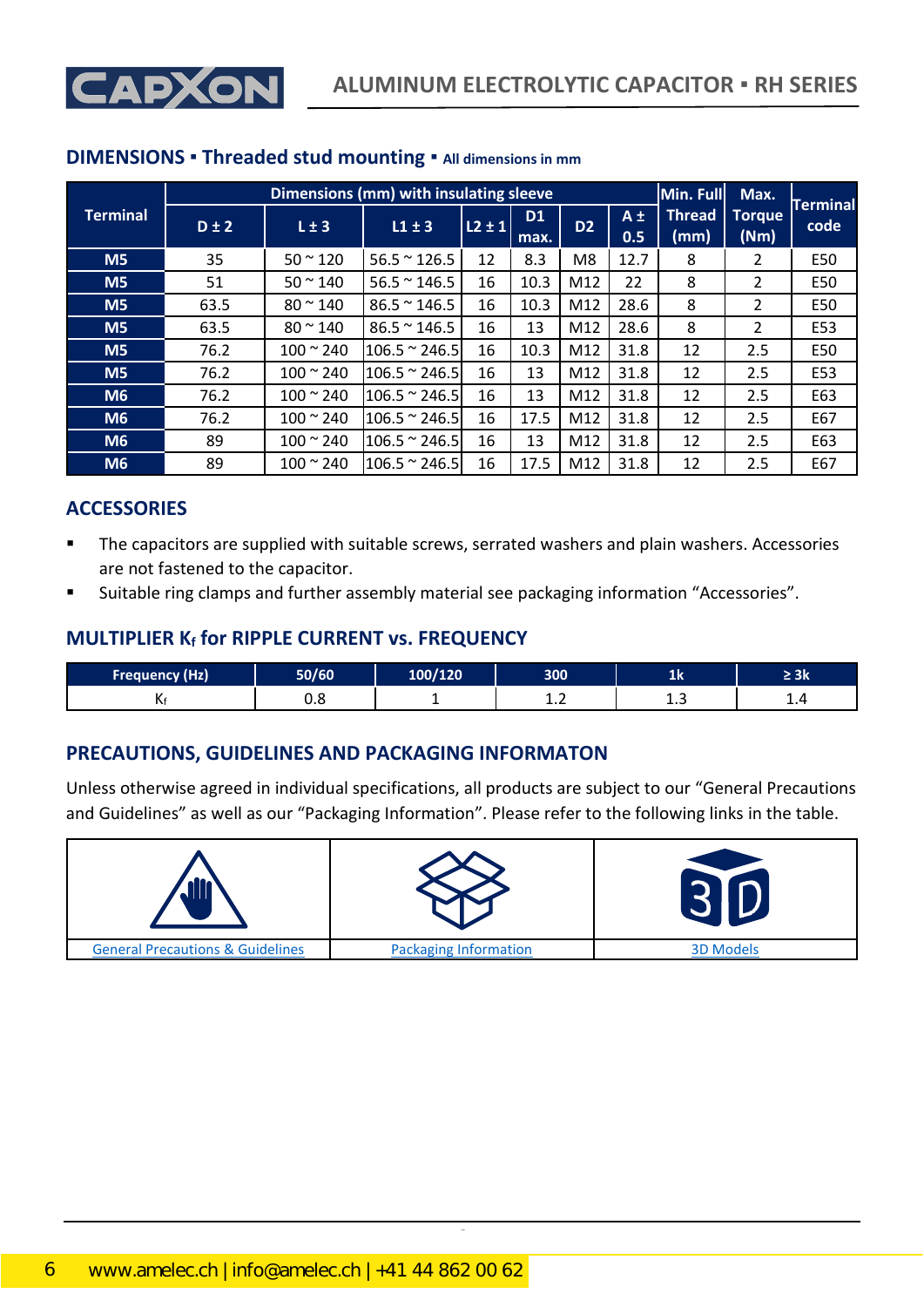



|                 | Dimensions (mm) with insulating sleeve |                   |                       |            |                        |                |                | Min. Full             | Max.                  |                         |
|-----------------|----------------------------------------|-------------------|-----------------------|------------|------------------------|----------------|----------------|-----------------------|-----------------------|-------------------------|
| <b>Terminal</b> | $D \pm 2$                              | $L \pm 3$         | $L1 \pm 3$            | $L2 \pm 1$ | D <sub>1</sub><br>max. | D <sub>2</sub> | $A \pm$<br>0.5 | <b>Thread</b><br>(mm) | <b>Torque</b><br>(Nm) | <b>Terminal</b><br>code |
| M <sub>5</sub>  | 35                                     | $50 - 120$        | $56.5 \approx 126.5$  | 12         | 8.3                    | M <sub>8</sub> | 12.7           | 8                     | 2                     | E50                     |
| M <sub>5</sub>  | 51                                     | $50 - 140$        | $56.5 \approx 146.5$  | 16         | 10.3                   | M12            | 22             | 8                     | 2                     | E50                     |
| M <sub>5</sub>  | 63.5                                   | $80 \approx 140$  | $86.5 \approx 146.5$  | 16         | 10.3                   | M12            | 28.6           | 8                     | 2                     | E50                     |
| M <sub>5</sub>  | 63.5                                   | $80 \approx 140$  | $86.5 \approx 146.5$  | 16         | 13                     | M12            | 28.6           | 8                     | 2                     | E53                     |
| M <sub>5</sub>  | 76.2                                   | $100 \approx 240$ | $106.5 \approx 246.5$ | 16         | 10.3                   | M12            | 31.8           | 12                    | 2.5                   | E50                     |
| M <sub>5</sub>  | 76.2                                   | $100 \approx 240$ | $106.5 \approx 246.5$ | 16         | 13                     | M12            | 31.8           | 12                    | 2.5                   | E53                     |
| M <sub>6</sub>  | 76.2                                   | $100 \approx 240$ | $106.5 \approx 246.5$ | 16         | 13                     | M12            | 31.8           | 12                    | 2.5                   | E63                     |
| M <sub>6</sub>  | 76.2                                   | $100 - 240$       | $106.5 \approx 246.5$ | 16         | 17.5                   | M12            | 31.8           | 12                    | 2.5                   | E67                     |
| M <sub>6</sub>  | 89                                     | $100 \approx 240$ | $106.5 \approx 246.5$ | 16         | 13                     | M12            | 31.8           | 12                    | 2.5                   | E63                     |
| M <sub>6</sub>  | 89                                     | $100 - 240$       | $106.5 \approx 246.5$ | 16         | 17.5                   | M12            | 31.8           | 12                    | 2.5                   | E67                     |

#### **DIMENSIONS ▪ Threaded stud mounting ▪ All dimensions in mm**

#### **ACCESSORIES**

- The capacitors are supplied with suitable screws, serrated washers and plain washers. Accessories are not fastened to the capacitor.
- Suitable ring clamps and further assembly material see packaging information "Accessories".

#### **MULTIPLIER K<sup>f</sup> for RIPPLE CURRENT vs. FREQUENCY**

| <b>Frequency (Hz)</b> | $F = 100$ | מרו/מחו | 300 | --  | эĸ  |
|-----------------------|-----------|---------|-----|-----|-----|
| . .                   | ◡.◡       |         | .   | ∸.J | --- |

### **PRECAUTIONS, GUIDELINES AND PACKAGING INFORMATON**

Unless otherwise agreed in individual specifications, all products are subject to our "General Precautions and Guidelines" as well as our "Packaging Information". Please refer to the following links in the table.

| ذاء                                         |                              |                  |
|---------------------------------------------|------------------------------|------------------|
| <b>General Precautions &amp; Guidelines</b> | <b>Packaging Information</b> | <b>3D Models</b> |

CapXon\_Ver. 001 – 03/31/2020 6 Document Number: RH series